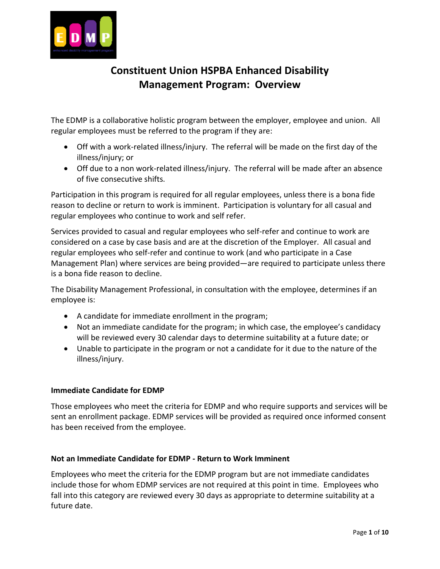

# **Constituent Union HSPBA Enhanced Disability Management Program: Overview**

The EDMP is a collaborative holistic program between the employer, employee and union. All regular employees must be referred to the program if they are:

- Off with a work-related illness/injury. The referral will be made on the first day of the illness/injury; or
- Off due to a non work-related illness/injury. The referral will be made after an absence of five consecutive shifts.

Participation in this program is required for all regular employees, unless there is a bona fide reason to decline or return to work is imminent. Participation is voluntary for all casual and regular employees who continue to work and self refer.

Services provided to casual and regular employees who self-refer and continue to work are considered on a case by case basis and are at the discretion of the Employer. All casual and regular employees who self-refer and continue to work (and who participate in a Case Management Plan) where services are being provided—are required to participate unless there is a bona fide reason to decline.

The Disability Management Professional, in consultation with the employee, determines if an employee is:

- A candidate for immediate enrollment in the program;
- Not an immediate candidate for the program; in which case, the employee's candidacy will be reviewed every 30 calendar days to determine suitability at a future date; or
- Unable to participate in the program or not a candidate for it due to the nature of the illness/injury.

## **Immediate Candidate for EDMP**

Those employees who meet the criteria for EDMP and who require supports and services will be sent an enrollment package. EDMP services will be provided as required once informed consent has been received from the employee.

## **Not an Immediate Candidate for EDMP - Return to Work Imminent**

Employees who meet the criteria for the EDMP program but are not immediate candidates include those for whom EDMP services are not required at this point in time. Employees who fall into this category are reviewed every 30 days as appropriate to determine suitability at a future date.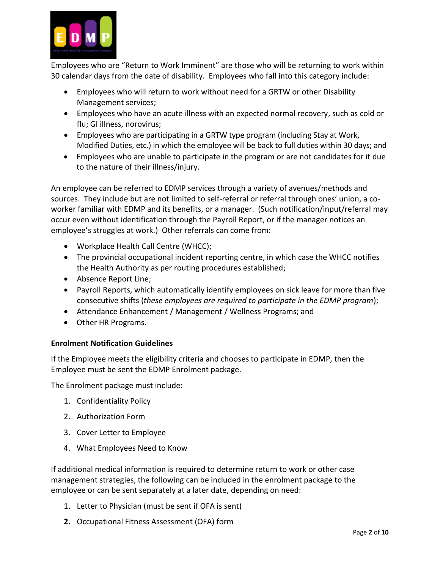

Employees who are "Return to Work Imminent" are those who will be returning to work within 30 calendar days from the date of disability. Employees who fall into this category include:

- Employees who will return to work without need for a GRTW or other Disability Management services;
- Employees who have an acute illness with an expected normal recovery, such as cold or flu; GI illness, norovirus;
- Employees who are participating in a GRTW type program (including Stay at Work, Modified Duties, etc.) in which the employee will be back to full duties within 30 days; and
- Employees who are unable to participate in the program or are not candidates for it due to the nature of their illness/injury.

An employee can be referred to EDMP services through a variety of avenues/methods and sources. They include but are not limited to self-referral or referral through ones' union, a coworker familiar with EDMP and its benefits, or a manager. (Such notification/input/referral may occur even without identification through the Payroll Report, or if the manager notices an employee's struggles at work.) Other referrals can come from:

- Workplace Health Call Centre (WHCC);
- The provincial occupational incident reporting centre, in which case the WHCC notifies the Health Authority as per routing procedures established;
- Absence Report Line;
- Payroll Reports, which automatically identify employees on sick leave for more than five consecutive shifts (*these employees are required to participate in the EDMP program*);
- Attendance Enhancement / Management / Wellness Programs; and
- Other HR Programs.

# **Enrolment Notification Guidelines**

If the Employee meets the eligibility criteria and chooses to participate in EDMP, then the Employee must be sent the EDMP Enrolment package.

The Enrolment package must include:

- 1. Confidentiality Policy
- 2. Authorization Form
- 3. Cover Letter to Employee
- 4. What Employees Need to Know

If additional medical information is required to determine return to work or other case management strategies, the following can be included in the enrolment package to the employee or can be sent separately at a later date, depending on need:

- 1. Letter to Physician (must be sent if OFA is sent)
- **2.** Occupational Fitness Assessment (OFA) form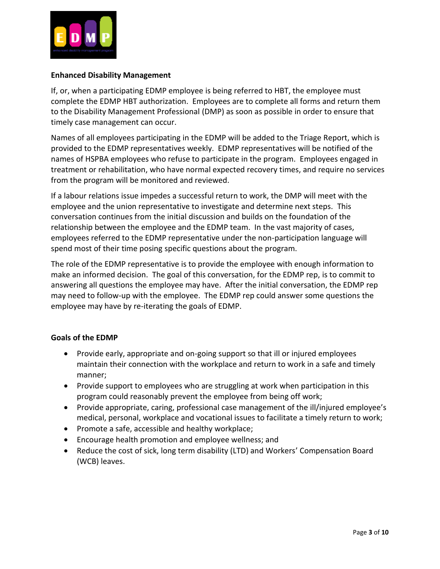

## **Enhanced Disability Management**

If, or, when a participating EDMP employee is being referred to HBT, the employee must complete the EDMP HBT authorization. Employees are to complete all forms and return them to the Disability Management Professional (DMP) as soon as possible in order to ensure that timely case management can occur.

Names of all employees participating in the EDMP will be added to the Triage Report, which is provided to the EDMP representatives weekly. EDMP representatives will be notified of the names of HSPBA employees who refuse to participate in the program. Employees engaged in treatment or rehabilitation, who have normal expected recovery times, and require no services from the program will be monitored and reviewed.

If a labour relations issue impedes a successful return to work, the DMP will meet with the employee and the union representative to investigate and determine next steps. This conversation continues from the initial discussion and builds on the foundation of the relationship between the employee and the EDMP team. In the vast majority of cases, employees referred to the EDMP representative under the non-participation language will spend most of their time posing specific questions about the program.

The role of the EDMP representative is to provide the employee with enough information to make an informed decision. The goal of this conversation, for the EDMP rep, is to commit to answering all questions the employee may have. After the initial conversation, the EDMP rep may need to follow-up with the employee. The EDMP rep could answer some questions the employee may have by re-iterating the goals of EDMP.

## **Goals of the EDMP**

- Provide early, appropriate and on-going support so that ill or injured employees maintain their connection with the workplace and return to work in a safe and timely manner;
- Provide support to employees who are struggling at work when participation in this program could reasonably prevent the employee from being off work;
- Provide appropriate, caring, professional case management of the ill/injured employee's medical, personal, workplace and vocational issues to facilitate a timely return to work;
- Promote a safe, accessible and healthy workplace;
- Encourage health promotion and employee wellness; and
- Reduce the cost of sick, long term disability (LTD) and Workers' Compensation Board (WCB) leaves.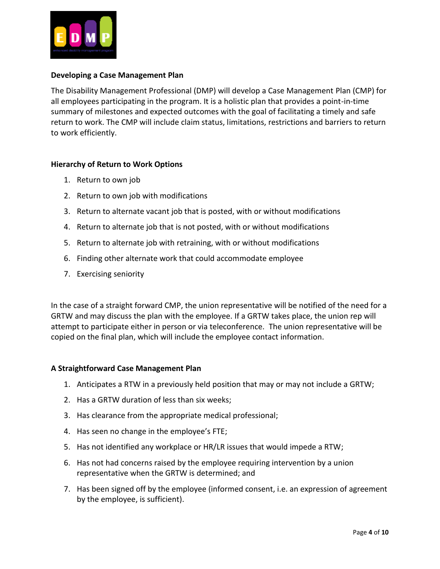

#### **Developing a Case Management Plan**

The Disability Management Professional (DMP) will develop a Case Management Plan (CMP) for all employees participating in the program. It is a holistic plan that provides a point-in-time summary of milestones and expected outcomes with the goal of facilitating a timely and safe return to work. The CMP will include claim status, limitations, restrictions and barriers to return to work efficiently.

## **Hierarchy of Return to Work Options**

- 1. Return to own job
- 2. Return to own job with modifications
- 3. Return to alternate vacant job that is posted, with or without modifications
- 4. Return to alternate job that is not posted, with or without modifications
- 5. Return to alternate job with retraining, with or without modifications
- 6. Finding other alternate work that could accommodate employee
- 7. Exercising seniority

In the case of a straight forward CMP, the union representative will be notified of the need for a GRTW and may discuss the plan with the employee. If a GRTW takes place, the union rep will attempt to participate either in person or via teleconference. The union representative will be copied on the final plan, which will include the employee contact information.

#### **A Straightforward Case Management Plan**

- 1. Anticipates a RTW in a previously held position that may or may not include a GRTW;
- 2. Has a GRTW duration of less than six weeks;
- 3. Has clearance from the appropriate medical professional;
- 4. Has seen no change in the employee's FTE;
- 5. Has not identified any workplace or HR/LR issues that would impede a RTW;
- 6. Has not had concerns raised by the employee requiring intervention by a union representative when the GRTW is determined; and
- 7. Has been signed off by the employee (informed consent, i.e. an expression of agreement by the employee, is sufficient).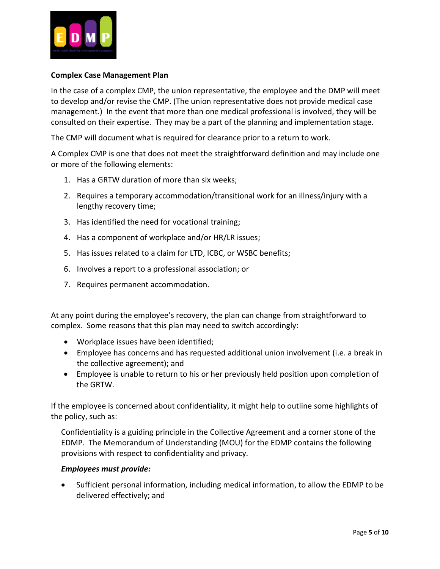

## **Complex Case Management Plan**

In the case of a complex CMP, the union representative, the employee and the DMP will meet to develop and/or revise the CMP. (The union representative does not provide medical case management.) In the event that more than one medical professional is involved, they will be consulted on their expertise. They may be a part of the planning and implementation stage.

The CMP will document what is required for clearance prior to a return to work.

A Complex CMP is one that does not meet the straightforward definition and may include one or more of the following elements:

- 1. Has a GRTW duration of more than six weeks;
- 2. Requires a temporary accommodation/transitional work for an illness/injury with a lengthy recovery time;
- 3. Has identified the need for vocational training;
- 4. Has a component of workplace and/or HR/LR issues;
- 5. Has issues related to a claim for LTD, ICBC, or WSBC benefits;
- 6. Involves a report to a professional association; or
- 7. Requires permanent accommodation.

At any point during the employee's recovery, the plan can change from straightforward to complex. Some reasons that this plan may need to switch accordingly:

- Workplace issues have been identified;
- Employee has concerns and has requested additional union involvement (i.e. a break in the collective agreement); and
- Employee is unable to return to his or her previously held position upon completion of the GRTW.

If the employee is concerned about confidentiality, it might help to outline some highlights of the policy, such as:

Confidentiality is a guiding principle in the Collective Agreement and a corner stone of the EDMP. The Memorandum of Understanding (MOU) for the EDMP contains the following provisions with respect to confidentiality and privacy.

#### *Employees must provide:*

 Sufficient personal information, including medical information, to allow the EDMP to be delivered effectively; and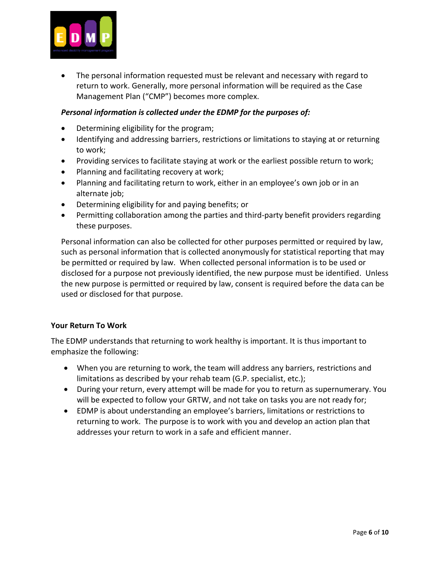

 The personal information requested must be relevant and necessary with regard to return to work. Generally, more personal information will be required as the Case Management Plan ("CMP") becomes more complex.

## *Personal information is collected under the EDMP for the purposes of:*

- Determining eligibility for the program;
- Identifying and addressing barriers, restrictions or limitations to staying at or returning to work;
- Providing services to facilitate staying at work or the earliest possible return to work;
- Planning and facilitating recovery at work;
- Planning and facilitating return to work, either in an employee's own job or in an alternate job;
- Determining eligibility for and paying benefits; or
- Permitting collaboration among the parties and third-party benefit providers regarding these purposes.

Personal information can also be collected for other purposes permitted or required by law, such as personal information that is collected anonymously for statistical reporting that may be permitted or required by law. When collected personal information is to be used or disclosed for a purpose not previously identified, the new purpose must be identified. Unless the new purpose is permitted or required by law, consent is required before the data can be used or disclosed for that purpose.

## **Your Return To Work**

The EDMP understands that returning to work healthy is important. It is thus important to emphasize the following:

- When you are returning to work, the team will address any barriers, restrictions and limitations as described by your rehab team (G.P. specialist, etc.);
- During your return, every attempt will be made for you to return as supernumerary. You will be expected to follow your GRTW, and not take on tasks you are not ready for;
- EDMP is about understanding an employee's barriers, limitations or restrictions to returning to work. The purpose is to work with you and develop an action plan that addresses your return to work in a safe and efficient manner.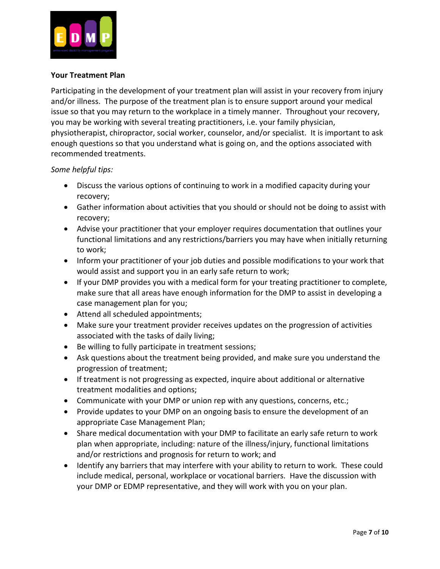

## **Your Treatment Plan**

Participating in the development of your treatment plan will assist in your recovery from injury and/or illness. The purpose of the treatment plan is to ensure support around your medical issue so that you may return to the workplace in a timely manner. Throughout your recovery, you may be working with several treating practitioners, i.e. your family physician, physiotherapist, chiropractor, social worker, counselor, and/or specialist. It is important to ask enough questions so that you understand what is going on, and the options associated with recommended treatments.

*Some helpful tips:*

- Discuss the various options of continuing to work in a modified capacity during your recovery;
- Gather information about activities that you should or should not be doing to assist with recovery;
- Advise your practitioner that your employer requires documentation that outlines your functional limitations and any restrictions/barriers you may have when initially returning to work;
- Inform your practitioner of your job duties and possible modifications to your work that would assist and support you in an early safe return to work;
- If your DMP provides you with a medical form for your treating practitioner to complete, make sure that all areas have enough information for the DMP to assist in developing a case management plan for you;
- Attend all scheduled appointments;
- Make sure your treatment provider receives updates on the progression of activities associated with the tasks of daily living;
- Be willing to fully participate in treatment sessions;
- Ask questions about the treatment being provided, and make sure you understand the progression of treatment;
- If treatment is not progressing as expected, inquire about additional or alternative treatment modalities and options;
- Communicate with your DMP or union rep with any questions, concerns, etc.;
- Provide updates to your DMP on an ongoing basis to ensure the development of an appropriate Case Management Plan;
- Share medical documentation with your DMP to facilitate an early safe return to work plan when appropriate, including: nature of the illness/injury, functional limitations and/or restrictions and prognosis for return to work; and
- Identify any barriers that may interfere with your ability to return to work. These could include medical, personal, workplace or vocational barriers. Have the discussion with your DMP or EDMP representative, and they will work with you on your plan.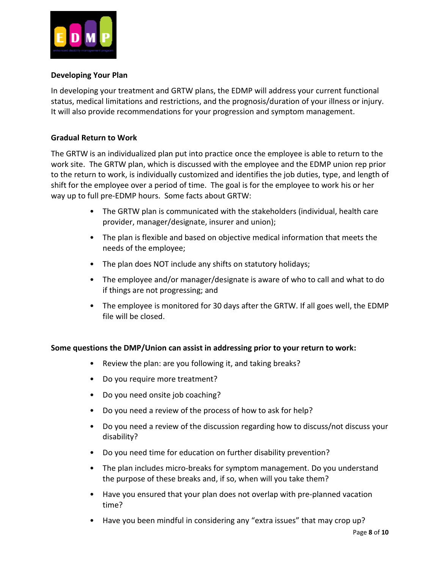

## **Developing Your Plan**

In developing your treatment and GRTW plans, the EDMP will address your current functional status, medical limitations and restrictions, and the prognosis/duration of your illness or injury. It will also provide recommendations for your progression and symptom management.

# **Gradual Return to Work**

The GRTW is an individualized plan put into practice once the employee is able to return to the work site. The GRTW plan, which is discussed with the employee and the EDMP union rep prior to the return to work, is individually customized and identifies the job duties, type, and length of shift for the employee over a period of time. The goal is for the employee to work his or her way up to full pre-EDMP hours. Some facts about GRTW:

- The GRTW plan is communicated with the stakeholders (individual, health care provider, manager/designate, insurer and union);
- The plan is flexible and based on objective medical information that meets the needs of the employee;
- The plan does NOT include any shifts on statutory holidays;
- The employee and/or manager/designate is aware of who to call and what to do if things are not progressing; and
- The employee is monitored for 30 days after the GRTW. If all goes well, the EDMP file will be closed.

## **Some questions the DMP/Union can assist in addressing prior to your return to work:**

- Review the plan: are you following it, and taking breaks?
- Do you require more treatment?
- Do you need onsite job coaching?
- Do you need a review of the process of how to ask for help?
- Do you need a review of the discussion regarding how to discuss/not discuss your disability?
- Do you need time for education on further disability prevention?
- The plan includes micro-breaks for symptom management. Do you understand the purpose of these breaks and, if so, when will you take them?
- Have you ensured that your plan does not overlap with pre-planned vacation time?
- Have you been mindful in considering any "extra issues" that may crop up?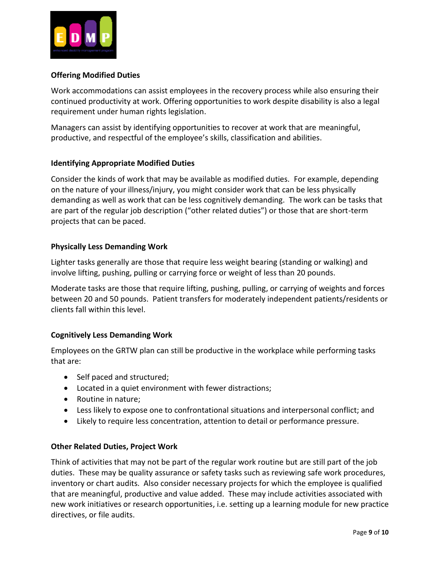

# **Offering Modified Duties**

Work accommodations can assist employees in the recovery process while also ensuring their continued productivity at work. Offering opportunities to work despite disability is also a legal requirement under human rights legislation.

Managers can assist by identifying opportunities to recover at work that are meaningful, productive, and respectful of the employee's skills, classification and abilities.

## **Identifying Appropriate Modified Duties**

Consider the kinds of work that may be available as modified duties. For example, depending on the nature of your illness/injury, you might consider work that can be less physically demanding as well as work that can be less cognitively demanding. The work can be tasks that are part of the regular job description ("other related duties") or those that are short-term projects that can be paced.

# **Physically Less Demanding Work**

Lighter tasks generally are those that require less weight bearing (standing or walking) and involve lifting, pushing, pulling or carrying force or weight of less than 20 pounds.

Moderate tasks are those that require lifting, pushing, pulling, or carrying of weights and forces between 20 and 50 pounds. Patient transfers for moderately independent patients/residents or clients fall within this level.

## **Cognitively Less Demanding Work**

Employees on the GRTW plan can still be productive in the workplace while performing tasks that are:

- Self paced and structured;
- Located in a quiet environment with fewer distractions;
- Routine in nature;
- Less likely to expose one to confrontational situations and interpersonal conflict; and
- Likely to require less concentration, attention to detail or performance pressure.

## **Other Related Duties, Project Work**

Think of activities that may not be part of the regular work routine but are still part of the job duties. These may be quality assurance or safety tasks such as reviewing safe work procedures, inventory or chart audits. Also consider necessary projects for which the employee is qualified that are meaningful, productive and value added. These may include activities associated with new work initiatives or research opportunities, i.e. setting up a learning module for new practice directives, or file audits.